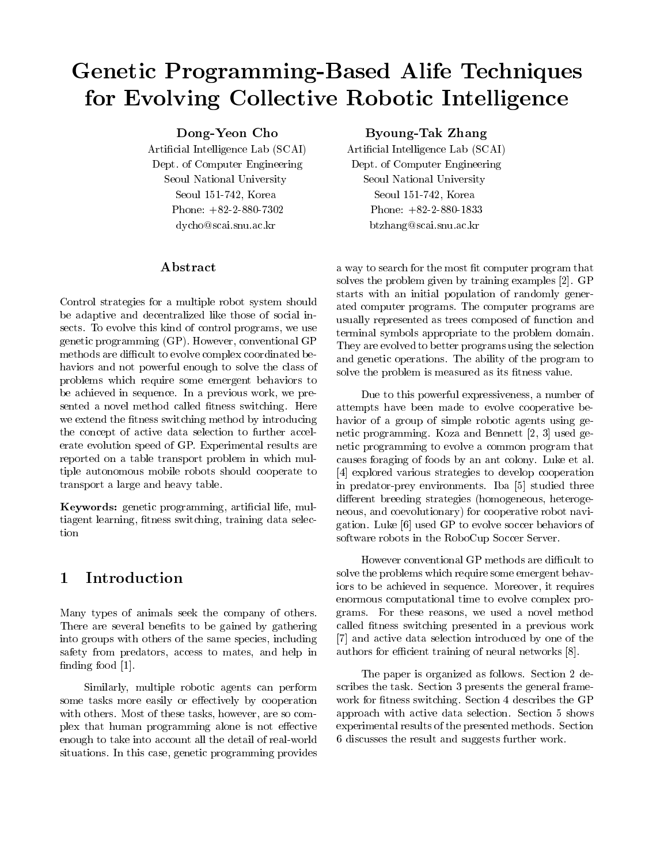# Genetic Programming-Based Alife Techniques for Evolving Collective Robotic Intelligence

Dong-Yeon Cho

 $\mathcal{L}$  are contracted as a set of  $\mathcal{L}$ Dept of Computer Engineering Seoul National University  $S$  . See Section 2. And  $S$  is the set of  $S$ Phone:  $+82-2-880-7302$ dycho@scai.snu.ac.kr

## Abstract

Control strategies for a multiple robot system should be adaptive and decentralized like those of social in sects. To evolve this kind of control programs, we use genetic programming  $(GP)$ . However, conventional  $GP$ methods are difficult to evolve complex coordinated behaviors and not powerful enough to solve the class of problems which require some emergent behaviors to be achieved in sequence In a previous work we pre sented a novel method switching is stated and called  $\pi$  $\cdots$  such the -dimension of the -dimensional bulk method by internal bulk method by internal bulk method by internal bulk method by  $\cdots$ the concept of active data selection to further accel erate evolution speed of GP Experimental results are reported on a table transport problem in which mul tiple autonomous mobile robots should cooperate to transport a large and heavy table

 $\mathcal{L}$  , and the programminal distribution of  $\mathcal{L}$  $\mathcal{L}_{\mathbf{q}}$  . It is seen that selected the selected data selected as a selected selected and selected as a selected selected and selected as a selected selected and selected as a selected selected and selected as a sel

#### Introduction 1

Many types of animals seek the company of others There are several bene-ts to be gained by gathering into groups with others of the same species including safety from predators access to mates and help in -nding food

Similarly multiple robotic agents can perform some tasks more easily or effectively by cooperation with others. Most of these tasks, however, are so complex that human programming alone is not effective enough to take into account all the detail of real-world situations. In this case, genetic programming provides

## $\blacksquare$  Take  $\blacksquare$   $\blacksquare$   $\blacksquare$   $\blacksquare$   $\blacksquare$   $\blacksquare$   $\blacksquare$   $\blacksquare$   $\blacksquare$   $\blacksquare$   $\blacksquare$   $\blacksquare$   $\blacksquare$   $\blacksquare$   $\blacksquare$   $\blacksquare$   $\blacksquare$   $\blacksquare$   $\blacksquare$   $\blacksquare$   $\blacksquare$   $\blacksquare$   $\blacksquare$   $\blacksquare$   $\blacksquare$   $\blacksquare$   $\blacksquare$   $\blacksquare$   $\blacksquare$   $\blacksquare$

Arti-cial Intelligence Lab SCAI Dept of Computer Engineering Seoul National University Seoul  Korea Phone:  $+82-2-880-1833$ btzhang@scai.snu.ac.kr

a way to search for the most - the most - the most - the most - the most - the most - the most - that - the mos solves the problem given by training examples [2]. GP starts with an initial population of randomly gener ated computer programs The computer programs are usually represented as trees composed of function and terminal symbols appropriate to the problem domain They are evolved to better programs using the selection and genetic operations The ability of the program to solve the problem is measured as its - the problem is measured as its - the problem is - the problem in the problem is - the problem in the problem is - the problem in the problem in the problem in the problem in the probl

Due to this powerful expressiveness a number of attempts have been made to evolve cooperative be havior of a group of simple robotic agents using genetic programming. Koza and Bennett  $[2, 3]$  used genetic programming to evolve a common program that causes foraging of foods by an ant colony Luke et al explored various strategies to develop cooperation in predator-prey environments. Iba [5] studied three different breeding strategies (homogeneous, heterogeneous, and coevolutionary) for cooperative robot navigation. Luke  $[6]$  used GP to evolve soccer behaviors of software robots in the RoboCup Soccer Server

However conventional GP methods are difficult to solve the problems which require some emergent behav iors to be achieved in sequence. Moreover, it requires enormous computational time to evolve complex pro grams. For these reasons, we used a novel method called -tness switching presented in <sup>a</sup> previous work [7] and active data selection introduced by one of the authors for efficient training of neural networks  $[8]$ .

The paper is organized as follows. Section 2 describes the task. Section 3 presents the general framework for the GPS section of the GPS section in the GPS section in the GPS section in the GPS section in the GPS section in the GPS section in the GPS section in the GPS section in the GPS section in the GPS section in the approach with active data selection. Section 5 shows experimental results of the presented methods. Section discusses the result and suggests further work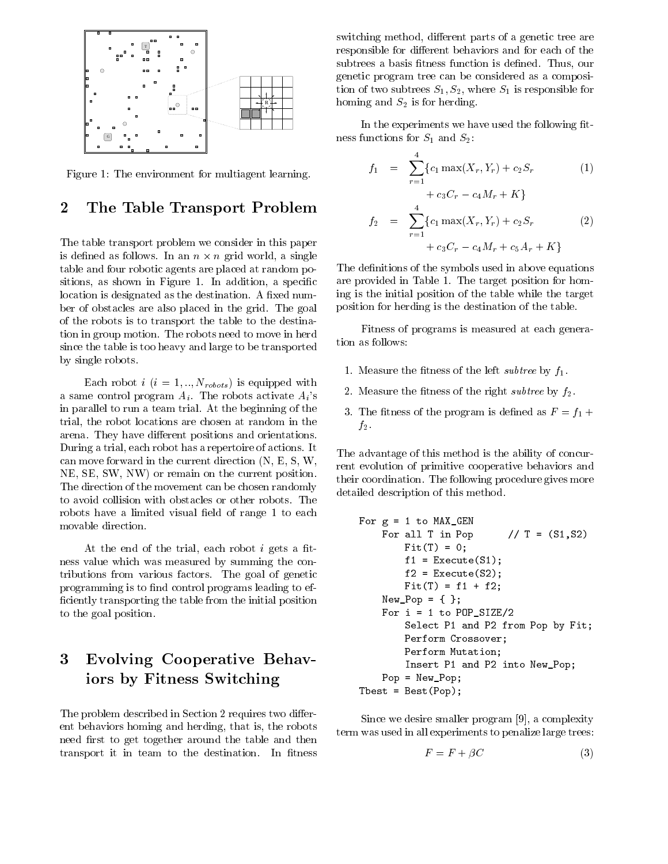

Figure 1: The environment for multiagent learning.

#### $\overline{2}$ The Table Transport Problem

The table transport problem we consider in this paper is defined as follows. In an  $n \times n$  grid world, a single table and four robotic agents are placed at random po sitions as shown in Figure In addition  $\mathcal{L}(\mathbf{A})$  and  $\mathcal{L}(\mathbf{A})$  and  $\mathcal{L}(\mathbf{A})$  and  $\mathcal{L}(\mathbf{A})$  and  $\mathcal{L}(\mathbf{A})$  and  $\mathcal{L}(\mathbf{A})$  and  $\mathcal{L}(\mathbf{A})$  and  $\mathcal{L}(\mathbf{A})$  and  $\mathcal{L}(\mathbf{A})$  and  $\mathcal{L}(\mathbf{$ location is designated as the destination A -xed num ber of obstacles are also placed in the grid. The goal of the robots is to transport the table to the destina tion in group motion. The robots need to move in herd since the table is too heavy and large to be transported by single robots

 $\mathcal{N}$  - is equipped with  $\mathcal{N}$  - in the set of  $\mathcal{N}$ as same control program Ai  $\alpha$  and the robots activities  $\alpha$  such a substitution  $\alpha$ in parallel to run a team trial At the beginning of the trial the robot locations are chosen at random in the arena. They have different positions and orientations. During a trial each robot has a repertoire of actions It can move forward in the current direction  $(N, E, S, W, \mathbb{R})$ NE, SE, SW, NW) or remain on the current position. The direction of the movement can be chosen randomly to avoid collision with obstacles or other robots The robots have a limited visual have a limit - to each of range movable direction

At the end of the trial each robot i gets a -t ness value which was measured by summing the con tributions from various factors. The goal of genetic programming is to -nd control programs leading to ef -ciently transporting the table from the initial position to the goal position

# Evolving Cooperative Behav iors by Fitness Switching

The problem described in Section 2 requires two different behaviors homing and herding that is the robots need -rst to get together around the table and then transport it in team to the destination in the destination is a second to the destination of  $\sim$ 

switching method, different parts of a genetic tree are responsible for different behaviors and for each of the subtrees a basis  $\mathbf{f}_\mathrm{max}$  function is defined to the  $\mathbf{f}_\mathrm{max}$ genetic program tree can be considered as a composi tion of two subtrees  $\mathcal{S}_1$  is responsible for the S is responsible for the S is responsible for the S is responsible for the S is responsible for the S is responsible for the S is responsible for the S is responsible homing and S-contract and S-contract and S-contract and S-contract and S-contract and S-contract and S-contract and

In the experiments we have used the following -t ness functions functions functions functions functions functions functions  $\mathcal{L}_\mathbf{S}$ 

$$
f_1 = \sum_{r=1}^{4} \{c_1 \max(X_r, Y_r) + c_2 S_r \tag{1}
$$

$$
+ c_3 C_r - c_4 M_r + K \}
$$

$$
f_2 = \sum_{r=1}^{4} \{c_1 \max(X_r, Y_r) + c_2 S_r \tag{2}
$$

$$
+ c_3 C_r - c_4 M_r + c_5 A_r + K \}
$$

The de-nitions of the symbols used in above equations are provided in Table 1. The target position for homing is the initial position of the table while the target position for herding is the destination of the table

Fitness of programs is measured at each genera tion as follows

- $M_{\rm e}$  , the left subtree by function  $\sim$  the left subtree by function  $\sim$
- $\Omega$  . The right subtree by f-d the right subtree by f-d the right subtree by f-d the right subtree by f-d the right subtree by f-d the right subtree by f-d the right subtree by f-d the right subtree by f-d the right subt
- $\blacksquare$  to the program is defined as  $\blacksquare$ f-

The advantage of this method is the ability of concur rent evolution of primitive cooperative behaviors and their coordination. The following procedure gives more detailed description of this method

```
For g -
  to MAXGEN
                For all T in Pop
                                                                                                                      // T = (S1, S2)\blacksquare . The state of the state of the state of the state of the state of the state of the state of the state of the state of the state of the state of the state of the state of the state of the state of the state of the 
                                                                                   \mathbf{r}f - Executed the second second second second second second second second second second second second second second second second second second second second second second second second second second second second second 
                                    f - Executed the second second second second second second second second second second second second second second second second second second second second second second second second second second second second second 
                                    FitT	 -
 f  f
                  new Pop - New Pop - New Pop - New Pop - New Pop - New Pop - New Pop - New Pop - New Pop - New Pop - New Pop -
                  \mathbf{f} = \mathbf{f} \cdot \mathbf{f} , where \mathbf{f} = \mathbf{f} \cdot \mathbf{f} is a set of \mathbf{f} = \mathbf{f} \cdot \mathbf{f} , where \mathbf{f} = \mathbf{f} \cdot \mathbf{f}Select P1 and P2 from Pop by Fit;
                                  Perform Crossover
                                  Perform Mutation
                                   Insert P1 and P2 into New_Pop;
                  Pop - Pop - Pop - Pop - Pop - Pop - Pop - Pop - Pop - Pop - Pop - Pop - Pop - Pop - Pop - Pop - Pop - Pop - Po
\blacksquare - \blacksquare - \blacksquare - \blacksquare - \blacksquare - \blacksquare - \blacksquare - \blacksquare - \blacksquare - \blacksquare - \blacksquare - \blacksquare - \blacksquare - \blacksquare - \blacksquare - \blacksquare - \blacksquare - \blacksquare - \blacksquare - \blacksquare - \blacksquare - \blacksquare - \blacksquare - \blacksquare - \blacksquare
```
Since we desire smaller program  $[9]$ , a complexity term was used in all experiments to penalize large trees

$$
F = F + \beta C \tag{3}
$$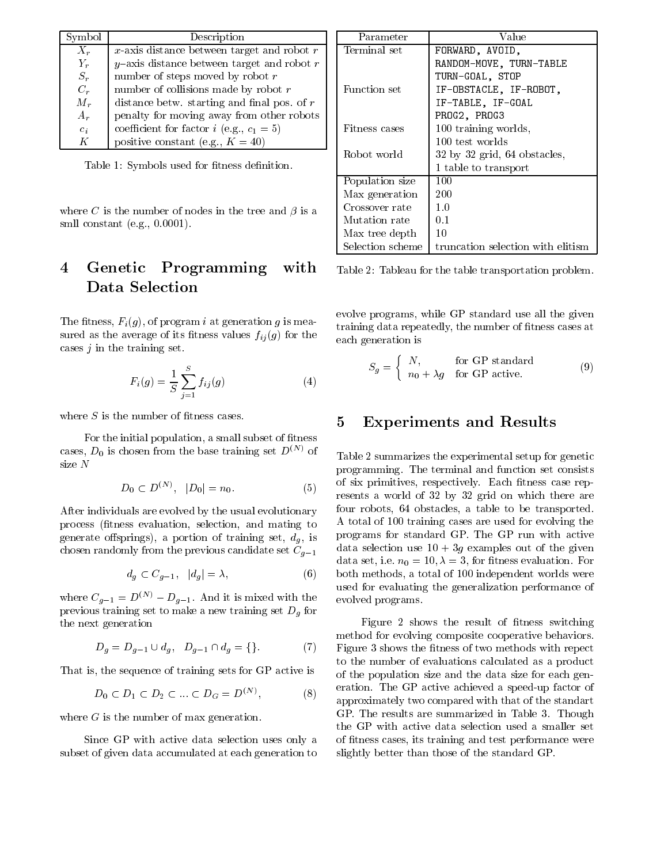| Symbol           | Description                                        |     |
|------------------|----------------------------------------------------|-----|
| $X_r$            | $x$ -axis distance between target and robot $r$    | Te  |
| $Y_r$            | $y$ -axis distance between target and robot $r$    |     |
| $S_r$            | number of steps moved by robot $r$                 |     |
| $C_r$            | number of collisions made by robot $r$             | Fп  |
| $M_r$            | distance betw. starting and final pos. of $r$      |     |
| $A_r$            | penalty for moving away from other robots          |     |
| $\overline{c_i}$ | coefficient for factor <i>i</i> (e.g., $c_1 = 5$ ) | Fi1 |
| K                | positive constant (e.g., $K = 40$ )                |     |

Table 1988 – tness de-sened for - the - the - the - the - the - the - the - the - the - the - the - the - the -

where C is the number of nodes in the tree and  $\beta$  is a smll constant (e.g.,  $0.0001$ ).

### Genetic Programming with  $\bf{4}$ Data Selection

 $\Gamma$  the -findex of problem in the problem in the set of problem in the set of problem in the set of  $\Gamma$ sured as the average of its - the average of its - the average of its - the average of its - the the the the t cases  $j$  in the training set.

$$
F_i(g) = \frac{1}{S} \sum_{j=1}^{S} f_{ij}(g)
$$
 (4)

For the initial population a small subset of -tness cases,  $D_0$  is chosen from the base training set  $D^{(N)}$  of

$$
D_0 \subset D^{(N)}, \quad |D_0| = n_0. \tag{5}
$$

After individuals are evolved by the usual evolutionary process -tness evaluation selection and mating to  $\Omega$  and the contract of the portion of the contract of the contract of the contract of the contract of the contract of the contract of the contract of the contract of the contract of the contract of the contract of the c chosen randomly from the previous candidate set  $C_{g-1}$ 

$$
d_g \subset C_{g-1}, \quad |d_g| = \lambda,\tag{6}
$$

where  $C_{g-1} = D^{\gamma + \gamma} - D_{g-1}$ . And it is mixed with the  $_{\text{evo}}$ previous training set to make a new training set Dg for the next generation

$$
D_g = D_{g-1} \cup d_g, \quad D_{g-1} \cap d_g = \{\}.
$$
 (7) Fi

That is the sequence of training sets for GP active is

$$
D_0 \subset D_1 \subset D_2 \subset \dots \subset D_G = D^{(N)}, \tag{8}
$$

where  $G$  is the number of max generation.

Since GP with active data selection uses only a subset of given data accumulated at each generation to

| Parameter        | Value                              |  |
|------------------|------------------------------------|--|
| Terminal set     | FORWARD, AVOID,                    |  |
|                  | RANDOM-MOVE, TURN-TABLE            |  |
|                  | TURN-GOAL, STOP                    |  |
| Function set     | IF-OBSTACLE, IF-ROBOT,             |  |
|                  | IF-TABLE, IF-GOAL                  |  |
|                  | PROG2, PROG3                       |  |
| Fitness cases    | 100 training worlds,               |  |
|                  | 100 test worlds                    |  |
| Robot world      | $32$ by $32$ grid, $64$ obstacles, |  |
|                  | 1 table to transport               |  |
| Population size  | 100                                |  |
| Max generation   | 200                                |  |
| Crossover rate   | 1.0                                |  |
| Mutation rate    | 0.1                                |  |
| Max tree depth   | 10                                 |  |
| Selection scheme | truncation selection with elitism  |  |

Table 2: Tableau for the table transportation problem.

evolve programs while GP standard use all the given  $\mathbf{r}$  the case repeated and  $\mathbf{r}_i$  , the cases at the case of the set of  $\mathbf{r}_i$ each generation is

$$
S_g = \begin{cases} N, & \text{for GP standard} \\ n_0 + \lambda g & \text{for GP active.} \end{cases}
$$
 (9)

## Experiments and Results

both methods are the methods were not as total of the total of the second were were were associated with the s Table 2 summarizes the experimental setup for genetic programming. The terminal and function set consists of six primitive states in the six primitive states of the six primitive states of the six primitive states of resents a world of 32 by 32 grid on which there are four robots obstacles a table to be transported A total of 100 training cases are used for evolving the programs for standard GP The GP run with active data selection use  $10 + 3g$  examples out of the given data set is a set of the set of the set of the set of the set of the set of the set of the set of the set of t used for evaluating the generalization performance of evolved programs

 approximately two compared with that of the standart Figure shows the result of -tness switching method for evolving composite cooperative behaviors Figure shows the -tness of two methods with repect to the number of evaluations calculated as a product of the population size and the data size for each gen eration. The GP active achieved a speed-up factor of GP. The results are summarized in Table 3. Though the GP with active data selection used a smaller set of -tness cases its training and test performance were slightly better than those of the standard GP